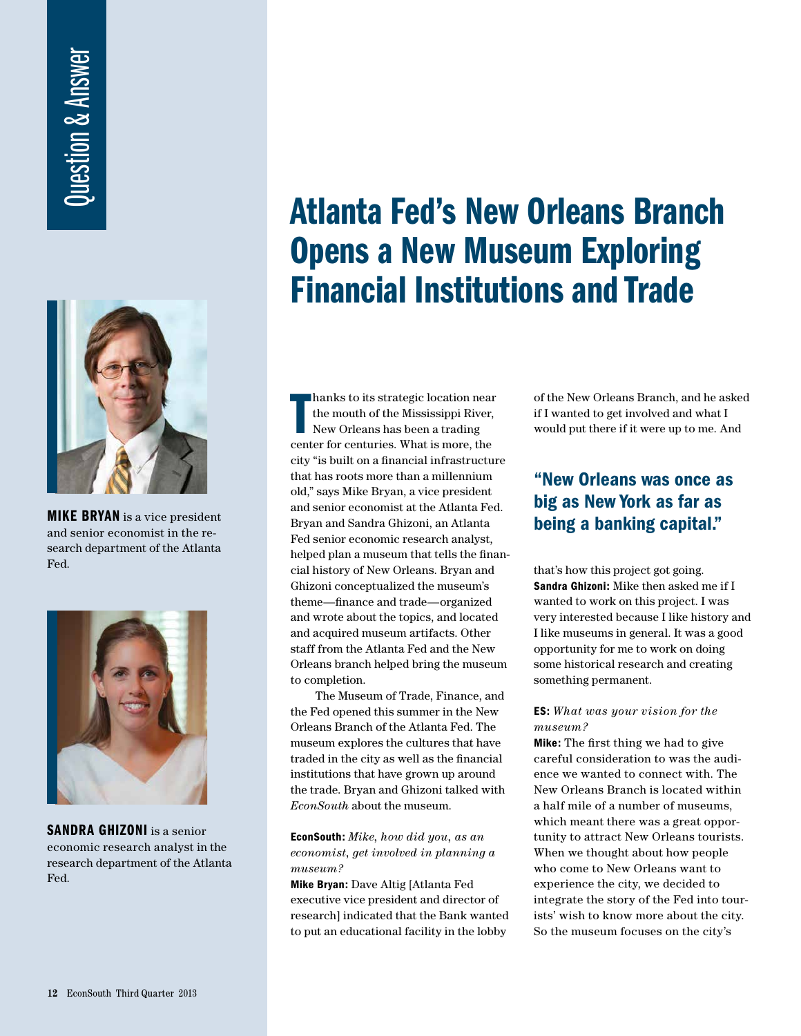# Question & Answer **Ouestion & Answer**



MIKE BRYAN is a vice president and senior economist in the research department of the Atlanta Fed.



SANDRA GHIZONI is a senior economic research analyst in the research department of the Atlanta Fed.

# Atlanta Fed's New Orleans Branch Opens a New Museum Exploring Financial Institutions and Trade

hanks to its strategic location near<br>the mouth of the Mississippi River,<br>New Orleans has been a trading<br>center for centuries. What is more, the hanks to its strategic location near the mouth of the Mississippi River, New Orleans has been a trading city "is built on a financial infrastructure that has roots more than a millennium old," says Mike Bryan, a vice president and senior economist at the Atlanta Fed. Bryan and Sandra Ghizoni, an Atlanta Fed senior economic research analyst, helped plan a museum that tells the financial history of New Orleans. Bryan and Ghizoni conceptualized the museum's theme—finance and trade—organized and wrote about the topics, and located and acquired museum artifacts. Other staff from the Atlanta Fed and the New Orleans branch helped bring the museum to completion.

 The Museum of Trade, Finance, and the Fed opened this summer in the New Orleans Branch of the Atlanta Fed. The museum explores the cultures that have traded in the city as well as the financial institutions that have grown up around the trade. Bryan and Ghizoni talked with *EconSouth* about the museum.

#### EconSouth: *Mike, how did you, as an economist, get involved in planning a museum?*

Mike Bryan: Dave Altig [Atlanta Fed executive vice president and director of research] indicated that the Bank wanted to put an educational facility in the lobby

of the New Orleans Branch, and he asked if I wanted to get involved and what I would put there if it were up to me. And

## "New Orleans was once as big as New York as far as being a banking capital."

that's how this project got going. Sandra Ghizoni: Mike then asked me if I wanted to work on this project. I was very interested because I like history and I like museums in general. It was a good opportunity for me to work on doing some historical research and creating something permanent.

#### ES: *What was your vision for the museum?*

Mike: The first thing we had to give careful consideration to was the audience we wanted to connect with. The New Orleans Branch is located within a half mile of a number of museums, which meant there was a great opportunity to attract New Orleans tourists. When we thought about how people who come to New Orleans want to experience the city, we decided to integrate the story of the Fed into tourists' wish to know more about the city. So the museum focuses on the city's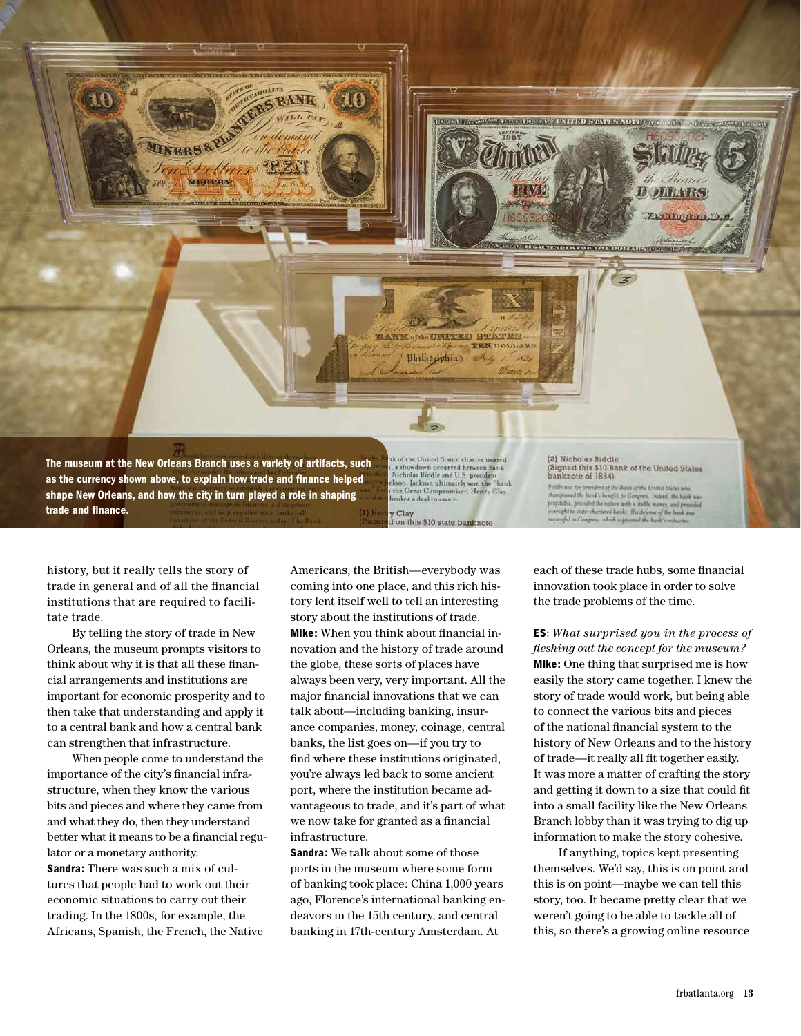

history, but it really tells the story of trade in general and of all the financial institutions that are required to facilitate trade.

 By telling the story of trade in New Orleans, the museum prompts visitors to think about why it is that all these financial arrangements and institutions are important for economic prosperity and to then take that understanding and apply it to a central bank and how a central bank can strengthen that infrastructure.

 When people come to understand the importance of the city's financial infrastructure, when they know the various bits and pieces and where they came from and what they do, then they understand better what it means to be a financial regulator or a monetary authority. Sandra: There was such a mix of cultures that people had to work out their economic situations to carry out their trading. In the 1800s, for example, the Africans, Spanish, the French, the Native

Americans, the British—everybody was coming into one place, and this rich history lent itself well to tell an interesting story about the institutions of trade. Mike: When you think about financial innovation and the history of trade around the globe, these sorts of places have always been very, very important. All the major financial innovations that we can talk about—including banking, insurance companies, money, coinage, central banks, the list goes on—if you try to find where these institutions originated, you're always led back to some ancient port, where the institution became advantageous to trade, and it's part of what we now take for granted as a financial infrastructure.

Sandra: We talk about some of those ports in the museum where some form of banking took place: China 1,000 years ago, Florence's international banking endeavors in the 15th century, and central banking in 17th-century Amsterdam. At

each of these trade hubs, some financial innovation took place in order to solve the trade problems of the time.

ES: *What surprised you in the process of fl eshing out the concept for the museum?* Mike: One thing that surprised me is how easily the story came together. I knew the story of trade would work, but being able to connect the various bits and pieces of the national financial system to the history of New Orleans and to the history of trade—it really all fit together easily. It was more a matter of crafting the story and getting it down to a size that could fit into a small facility like the New Orleans Branch lobby than it was trying to dig up information to make the story cohesive.

 If anything, topics kept presenting themselves. We'd say, this is on point and this is on point—maybe we can tell this story, too. It became pretty clear that we weren't going to be able to tackle all of this, so there's a growing online resource